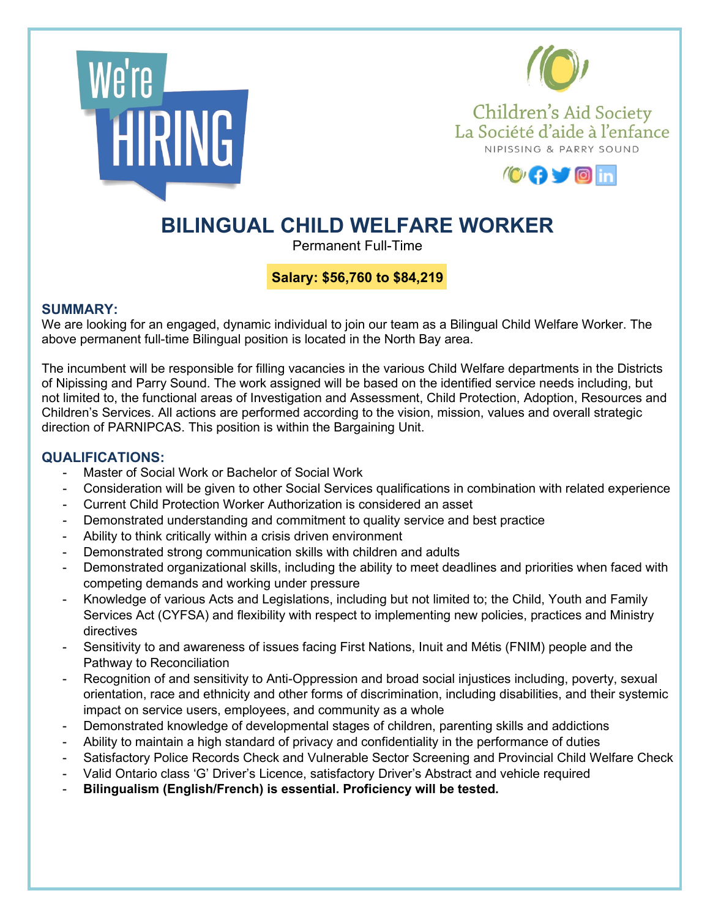



Children's Aid Society La Société d'aide à l'enfance NIPISSING & PARRY SOUND



# **BILINGUAL CHILD WELFARE WORKER**

Permanent Full-Time

## **Salary: \$56,760 to \$84,219**

#### **SUMMARY:**

We are looking for an engaged, dynamic individual to join our team as a Bilingual Child Welfare Worker. The above permanent full-time Bilingual position is located in the North Bay area.

The incumbent will be responsible for filling vacancies in the various Child Welfare departments in the Districts of Nipissing and Parry Sound. The work assigned will be based on the identified service needs including, but not limited to, the functional areas of Investigation and Assessment, Child Protection, Adoption, Resources and Children's Services. All actions are performed according to the vision, mission, values and overall strategic direction of PARNIPCAS. This position is within the Bargaining Unit.

### **QUALIFICATIONS:**

- Master of Social Work or Bachelor of Social Work
- Consideration will be given to other Social Services qualifications in combination with related experience
- Current Child Protection Worker Authorization is considered an asset
- Demonstrated understanding and commitment to quality service and best practice
- Ability to think critically within a crisis driven environment
- Demonstrated strong communication skills with children and adults
- Demonstrated organizational skills, including the ability to meet deadlines and priorities when faced with competing demands and working under pressure
- Knowledge of various Acts and Legislations, including but not limited to; the Child, Youth and Family Services Act (CYFSA) and flexibility with respect to implementing new policies, practices and Ministry directives
- Sensitivity to and awareness of issues facing First Nations, Inuit and Métis (FNIM) people and the Pathway to Reconciliation
- Recognition of and sensitivity to Anti-Oppression and broad social injustices including, poverty, sexual orientation, race and ethnicity and other forms of discrimination, including disabilities, and their systemic impact on service users, employees, and community as a whole
- Demonstrated knowledge of developmental stages of children, parenting skills and addictions
- Ability to maintain a high standard of privacy and confidentiality in the performance of duties
- Satisfactory Police Records Check and Vulnerable Sector Screening and Provincial Child Welfare Check
- Valid Ontario class 'G' Driver's Licence, satisfactory Driver's Abstract and vehicle required
- **Bilingualism (English/French) is essential. Proficiency will be tested.**